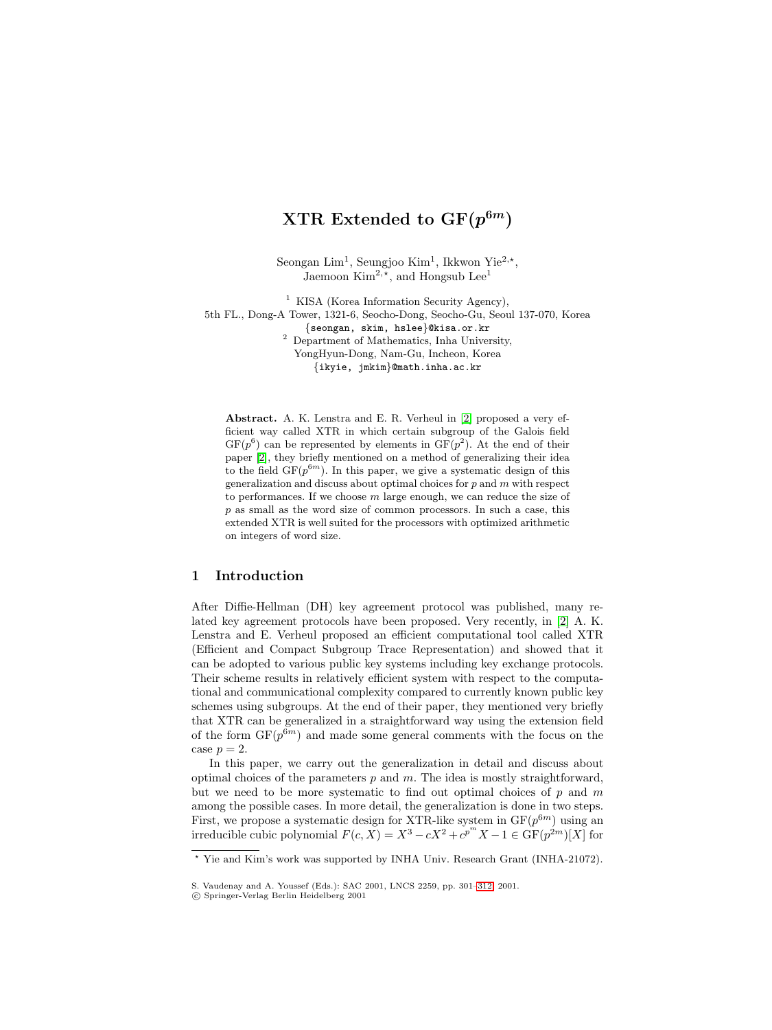Seongan Lim<sup>1</sup>, Seungjoo Kim<sup>1</sup>, Ikkwon Yie<sup>2,\*</sup>, Jaemoon  $\text{Kim}^{2, \star}$ , and Hongsub Lee<sup>1</sup>

 $^{\rm 1}$  KISA (Korea Information Security Agency), 5th FL., Dong-A Tower, 1321-6, Seocho-Dong, Seocho-Gu, Seoul 137-070, Korea {seongan, skim, hslee}@kisa.or.kr <sup>2</sup> Department of Mathematics, Inha University, YongHyun-Dong, Nam-Gu, Incheon, Korea {ikyie, jmkim}@math.inha.ac.kr

**Abstract.** A. K. Lenstra and E. R. Verheul in [\[2\]](#page-9-0) proposed a very efficient way called XTR in which certain subgroup of the Galois field  $GF(p^6)$  can be represented by elements in  $GF(p^2)$ . At the end of their paper [\[2\]](#page-9-0), they briefly mentioned on a method of generalizing their idea to the field  $GF(p^{6m})$ . In this paper, we give a systematic design of this generalization and discuss about optimal choices for  $p$  and  $m$  with respect to performances. If we choose  $m$  large enough, we can reduce the size of  $p$  as small as the word size of common processors. In such a case, this extended XTR is well suited for the processors with optimized arithmetic on integers of word size.

# **1 Introduction**

After Diffie-Hellman (DH) key agreement protocol was published, many related key agreement protocols have been proposed. Very recently, in [\[2\]](#page-9-0) A. K. Lenstra and E. Verheul proposed an efficient computational tool called XTR (Efficient and Compact Subgroup Trace Representation) and showed that it can be adopted to various public key systems including key exchange protocols. Their scheme results in relatively efficient system with respect to the computational and communicational complexity compared to currently known public key schemes using subgroups. At the end of their paper, they mentioned very briefly that XTR can be generalized in a straightforward way using the extension field of the form  $GF(p^{6m})$  and made some general comments with the focus on the case  $p = 2$ .

In this paper, we carry out the generalization in detail and discuss about optimal choices of the parameters  $p$  and  $m$ . The idea is mostly straightforward, but we need to be more systematic to find out optimal choices of  $p$  and  $m$ among the possible cases. In more detail, the generalization is done in two steps. First, we propose a systematic design for XTR-like system in  $GF(p^{6m})$  using an irreducible cubic polynomial  $F(c, X) = X^3 - cX^2 + c^{p^m} X - 1 \in \widehat{\mathrm{GF}}(p^{2m})[X]$  for

<sup>-</sup> Yie and Kim's work was supported by INHA Univ. Research Grant (INHA-21072).

S. Vaudenay and A. Youssef (Eds.): SAC 2001, LNCS 2259, pp. 301[–312,](#page-11-0) 2001.

c Springer-Verlag Berlin Heidelberg 2001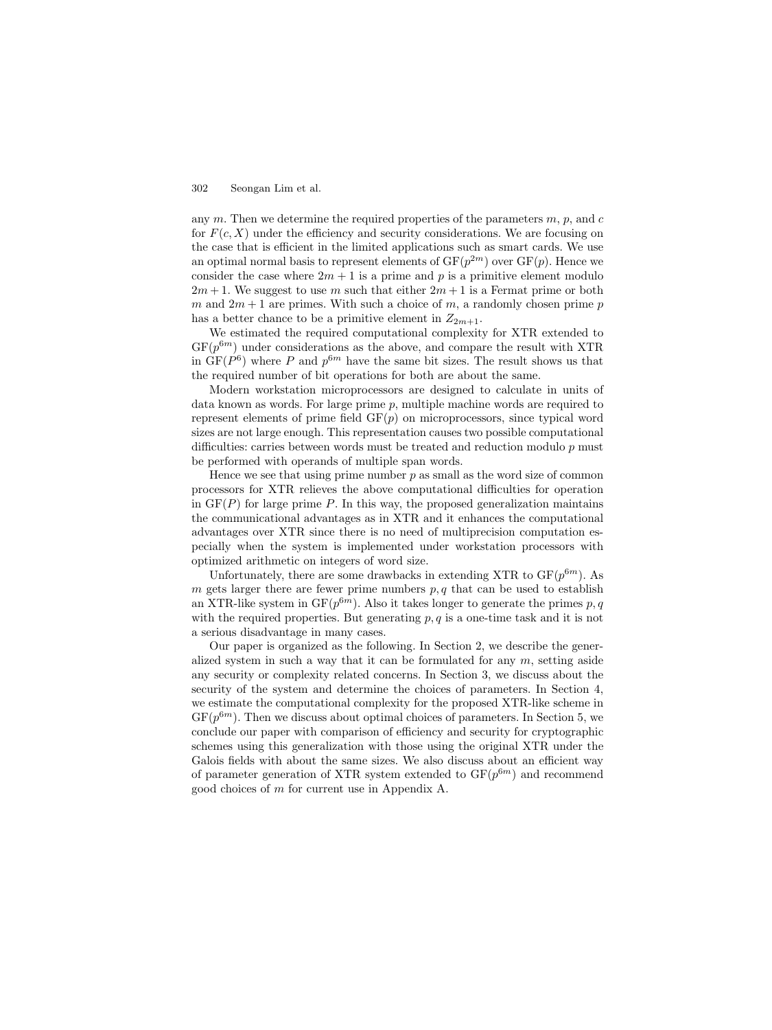any  $m$ . Then we determine the required properties of the parameters  $m$ ,  $p$ , and  $c$ for  $F(c, X)$  under the efficiency and security considerations. We are focusing on the case that is efficient in the limited applications such as smart cards. We use an optimal normal basis to represent elements of  $GF(p^{2m})$  over  $GF(p)$ . Hence we consider the case where  $2m + 1$  is a prime and p is a primitive element modulo  $2m + 1$ . We suggest to use m such that either  $2m + 1$  is a Fermat prime or both m and  $2m + 1$  are primes. With such a choice of m, a randomly chosen prime p has a better chance to be a primitive element in  $Z_{2m+1}$ .

We estimated the required computational complexity for XTR extended to  $GF(p^{6m})$  under considerations as the above, and compare the result with XTR in  $GF(P^6)$  where P and  $p^{6m}$  have the same bit sizes. The result shows us that the required number of bit operations for both are about the same.

Modern workstation microprocessors are designed to calculate in units of data known as words. For large prime p, multiple machine words are required to represent elements of prime field  $GF(p)$  on microprocessors, since typical word sizes are not large enough. This representation causes two possible computational difficulties: carries between words must be treated and reduction modulo  $p$  must be performed with operands of multiple span words.

Hence we see that using prime number  $p$  as small as the word size of common processors for XTR relieves the above computational difficulties for operation in  $GF(P)$  for large prime P. In this way, the proposed generalization maintains the communicational advantages as in XTR and it enhances the computational advantages over XTR since there is no need of multiprecision computation especially when the system is implemented under workstation processors with optimized arithmetic on integers of word size.

Unfortunately, there are some drawbacks in extending XTR to  $GF(p^{6m})$ . As  $m$  gets larger there are fewer prime numbers  $p, q$  that can be used to establish an XTR-like system in  $GF(p^{6m})$ . Also it takes longer to generate the primes p, q with the required properties. But generating  $p, q$  is a one-time task and it is not a serious disadvantage in many cases.

Our paper is organized as the following. In Section 2, we describe the generalized system in such a way that it can be formulated for any  $m$ , setting aside any security or complexity related concerns. In Section 3, we discuss about the security of the system and determine the choices of parameters. In Section 4, we estimate the computational complexity for the proposed XTR-like scheme in  $GF(p^{6m})$ . Then we discuss about optimal choices of parameters. In Section 5, we conclude our paper with comparison of efficiency and security for cryptographic schemes using this generalization with those using the original XTR under the Galois fields with about the same sizes. We also discuss about an efficient way of parameter generation of XTR system extended to  $GF(p^{6m})$  and recommend good choices of m for current use in Appendix A.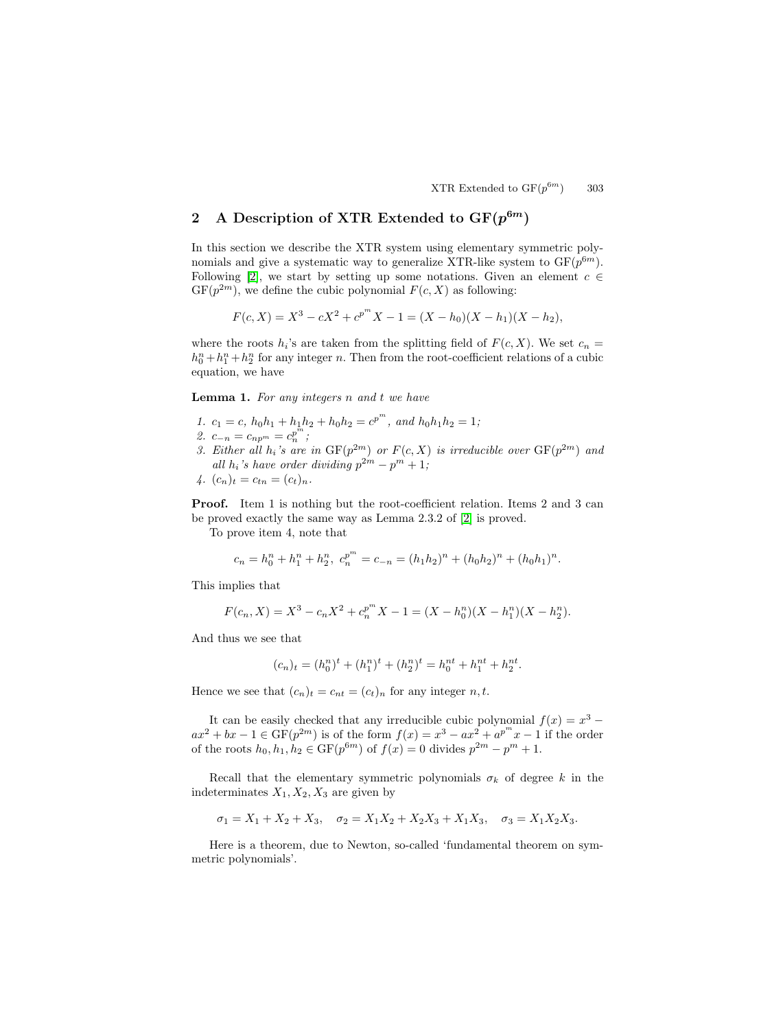# 2 A Description of XTR Extended to  $GF(p^{6m})$

In this section we describe the XTR system using elementary symmetric polynomials and give a systematic way to generalize XTR-like system to  $GF(p^{6m})$ . Following [\[2\]](#page-9-0), we start by setting up some notations. Given an element  $c \in \mathbb{R}$  $GF(p^{2m})$ , we define the cubic polynomial  $F(c, X)$  as following:

$$
F(c, X) = X3 - cX2 + cpmX - 1 = (X - h0)(X - h1)(X - h2),
$$

where the roots  $h_i$ 's are taken from the splitting field of  $F(c, X)$ . We set  $c_n =$  $h_0^n + h_1^n + h_2^n$  for any integer n. Then from the root-coefficient relations of a cubic equation, we have

**Lemma 1.** For any integers n and t we have

- 1.  $c_1 = c$ ,  $h_0h_1 + h_1h_2 + h_0h_2 = c^{p^m}$ , and  $h_0h_1h_2 = 1$ ;
- 2.  $c_{-n} = c_{np^m} = c_n^{p^m};$
- 3. Either all  $h_i$ 's are in  $GF(p^{2m})$  or  $F(c, X)$  is irreducible over  $GF(p^{2m})$  and all  $h_i$ 's have order dividing  $p^{2m} - p^m + 1$ ;

$$
\mathcal{A}.\ \ (c_n)_t = c_{tn} = (c_t)_n.
$$

**Proof.** Item 1 is nothing but the root-coefficient relation. Items 2 and 3 can be proved exactly the same way as Lemma 2.3.2 of [\[2\]](#page-9-0) is proved.

To prove item 4, note that

$$
c_n = h_0^n + h_1^n + h_2^n, \ c_n^{p^m} = c_{-n} = (h_1 h_2)^n + (h_0 h_2)^n + (h_0 h_1)^n.
$$

This implies that

$$
F(c_n, X) = X^3 - c_n X^2 + c_n^{p^m} X - 1 = (X - h_0^n)(X - h_1^n)(X - h_2^n).
$$

And thus we see that

$$
(c_n)_t = (h_0^n)^t + (h_1^n)^t + (h_2^n)^t = h_0^{nt} + h_1^{nt} + h_2^{nt}.
$$

Hence we see that  $(c_n)_t = c_{nt} = (c_t)_n$  for any integer n, t.

It can be easily checked that any irreducible cubic polynomial  $f(x) = x^3$  $ax^2 + bx - 1 \in \text{GF}(p^{2m})$  is of the form  $f(x) = x^3 - ax^2 + a^{p^m}x - 1$  if the order of the roots  $h_0, h_1, h_2 \in \mathrm{GF}(p^{6m})$  of  $f(x) = 0$  divides  $p^{2m} - p^m + 1$ .

Recall that the elementary symmetric polynomials  $\sigma_k$  of degree k in the indeterminates  $X_1, X_2, X_3$  are given by

$$
\sigma_1 = X_1 + X_2 + X_3, \quad \sigma_2 = X_1 X_2 + X_2 X_3 + X_1 X_3, \quad \sigma_3 = X_1 X_2 X_3.
$$

Here is a theorem, due to Newton, so-called 'fundamental theorem on symmetric polynomials'.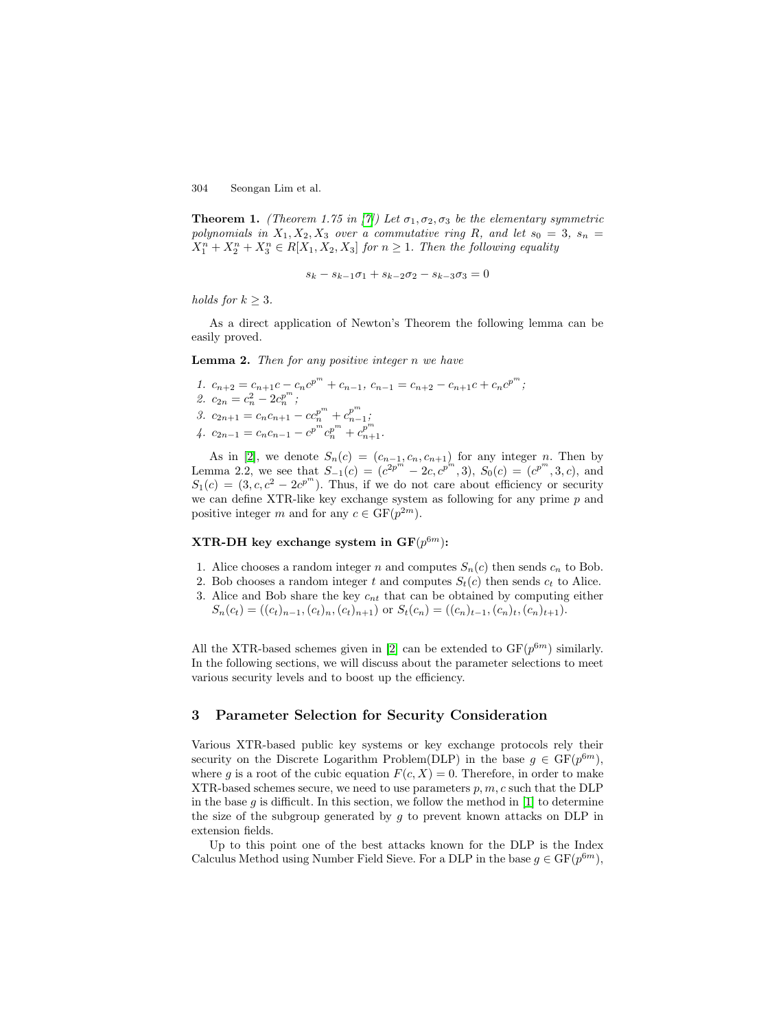<span id="page-3-0"></span>**Theorem 1.** (Theorem 1.75 in [\[7\]](#page-9-0)) Let  $\sigma_1, \sigma_2, \sigma_3$  be the elementary symmetric polynomials in  $X_1, X_2, X_3$  over a commutative ring R, and let  $s_0 = 3$ ,  $s_n =$  $X_1^n + X_2^n + X_3^n \in R[X_1, X_2, X_3]$  for  $n \geq 1$ . Then the following equality

$$
s_k - s_{k-1}\sigma_1 + s_{k-2}\sigma_2 - s_{k-3}\sigma_3 = 0
$$

holds for  $k \geq 3$ .

As a direct application of Newton's Theorem the following lemma can be easily proved.

**Lemma 2.** Then for any positive integer n we have

1. 
$$
c_{n+2} = c_{n+1}c - c_n c^{p^m} + c_{n-1}, c_{n-1} = c_{n+2} - c_{n+1}c + c_n c^{p^m};
$$
  
\n2.  $c_{2n} = c_n^2 - 2c_n^{p^m};$   
\n3.  $c_{2n+1} = c_n c_{n+1} - c c_n^{p^m} + c_{n-1}^{p^m};$   
\n4.  $c_{2n-1} = c_n c_{n-1} - c^{p^m} c_n^{p^m} + c_{n+1}^{p^m}.$ 

As in [\[2\]](#page-9-0), we denote  $S_n(c)=(c_{n-1}, c_n, c_{n+1})$  for any integer n. Then by Lemma 2.2, we see that  $S_{-1}(c) = (c^{2p^m} - 2c, c^{p^m}, 3), S_0(c) = (c^{p^m}, 3, c),$  and  $S_1(c) = (3, c, c^2 - 2c^{p^m})$ . Thus, if we do not care about efficiency or security we can define XTR-like key exchange system as following for any prime  $p$  and positive integer m and for any  $c \in \mathrm{GF}(p^{2m})$ .

### **XTR-DH** key exchange system in  $GF(p^{6m})$ :

- 1. Alice chooses a random integer n and computes  $S_n(c)$  then sends  $c_n$  to Bob.
- 2. Bob chooses a random integer t and computes  $S_t(c)$  then sends  $c_t$  to Alice.
- 3. Alice and Bob share the key  $c_{nt}$  that can be obtained by computing either  $S_n(c_t) = ((c_t)_{n-1}, (c_t)_n, (c_t)_{n+1})$  or  $S_t(c_n) = ((c_n)_{t-1}, (c_n)_t, (c_n)_{t+1}).$

All the XTR-based schemes given in [\[2\]](#page-9-0) can be extended to  $GF(p^{6m})$  similarly. In the following sections, we will discuss about the parameter selections to meet various security levels and to boost up the efficiency.

# **3 Parameter Selection for Security Consideration**

Various XTR-based public key systems or key exchange protocols rely their security on the Discrete Logarithm Problem(DLP) in the base  $g \in \mathrm{GF}(p^{6m})$ , where g is a root of the cubic equation  $F(c, X) = 0$ . Therefore, in order to make XTR-based schemes secure, we need to use parameters  $p, m, c$  such that the DLP in the base  $g$  is difficult. In this section, we follow the method in [\[1\]](#page-9-0) to determine the size of the subgroup generated by  $g$  to prevent known attacks on DLP in extension fields.

Up to this point one of the best attacks known for the DLP is the Index Calculus Method using Number Field Sieve. For a DLP in the base  $g \in \mathrm{GF}(p^{6m})$ ,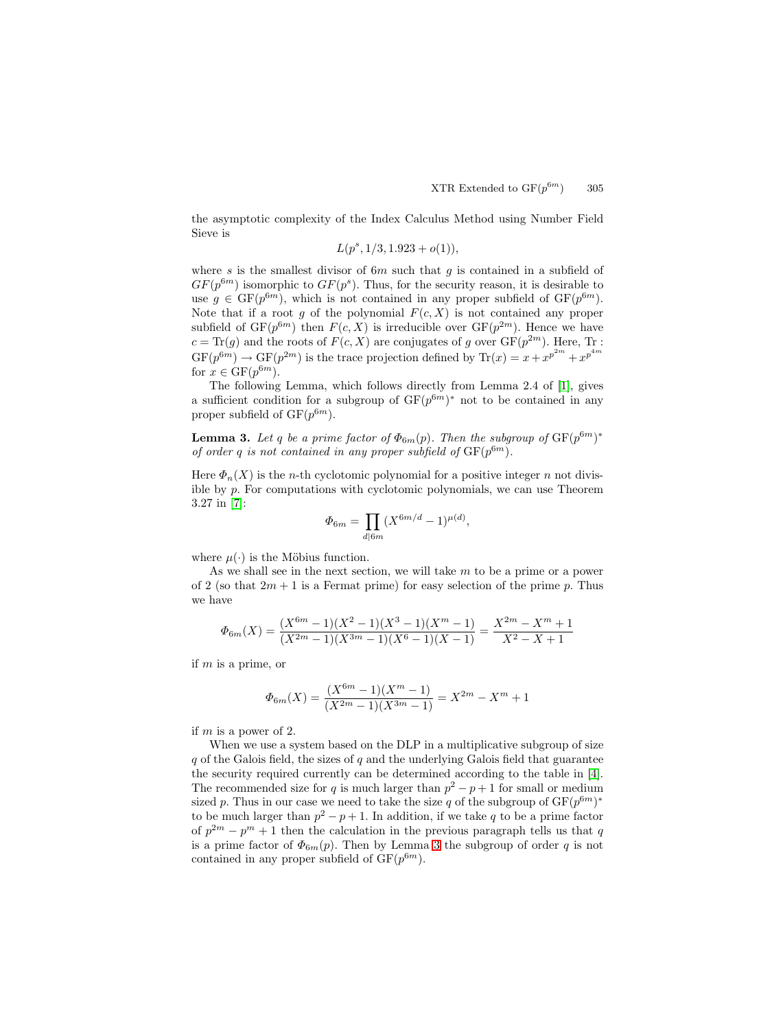the asymptotic complexity of the Index Calculus Method using Number Field Sieve is

$$
L(p^s, 1/3, 1.923 + o(1)),
$$

where s is the smallest divisor of  $6m$  such that g is contained in a subfield of  $GF(p^{6m})$  isomorphic to  $GF(p^s)$ . Thus, for the security reason, it is desirable to use  $g \in GF(p^{6m})$ , which is not contained in any proper subfield of  $GF(p^{6m})$ . Note that if a root g of the polynomial  $F(c, X)$  is not contained any proper subfield of  $GF(p^{6m})$  then  $F(c, X)$  is irreducible over  $GF(p^{2m})$ . Hence we have  $c = \text{Tr}(g)$  and the roots of  $F(c, X)$  are conjugates of g over  $\text{GF}(p^{2m})$ . Here, Tr :  $GF(p^{6m}) \to GF(p^{2m})$  is the trace projection defined by  $Tr(x) = x + x^{p^{2m}} + x^{p^{4m}}$ for  $x \in \mathrm{GF}(p^{6m})$ .

The following Lemma, which follows directly from Lemma 2.4 of [\[1\]](#page-9-0), gives a sufficient condition for a subgroup of  $GF(p^{6m})^*$  not to be contained in any proper subfield of  $GF(p^{6m})$ .

**Lemma 3.** Let q be a prime factor of  $\Phi_{6m}(p)$ . Then the subgroup of  $GF(p^{6m})^*$ of order q is not contained in any proper subfield of  $GF(p^{6m})$ .

Here  $\Phi_n(X)$  is the *n*-th cyclotomic polynomial for a positive integer *n* not divisible by  $p$ . For computations with cyclotomic polynomials, we can use Theorem 3.27 in [\[7\]](#page-9-0):

$$
\Phi_{6m} = \prod_{d \mid 6m} (X^{6m/d} - 1)^{\mu(d)},
$$

where  $\mu(\cdot)$  is the Möbius function.

As we shall see in the next section, we will take m to be a prime or a power of 2 (so that  $2m + 1$  is a Fermat prime) for easy selection of the prime p. Thus we have

$$
\Phi_{6m}(X) = \frac{(X^{6m}-1)(X^2-1)(X^3-1)(X^m-1)}{(X^{2m}-1)(X^{3m}-1)(X^6-1)(X-1)} = \frac{X^{2m}-X^m+1}{X^2-X+1}
$$

if  $m$  is a prime, or

$$
\Phi_{6m}(X) = \frac{(X^{6m}-1)(X^m-1)}{(X^{2m}-1)(X^{3m}-1)} = X^{2m} - X^m + 1
$$

if m is a power of 2.

When we use a system based on the DLP in a multiplicative subgroup of size  $q$  of the Galois field, the sizes of  $q$  and the underlying Galois field that guarantee the security required currently can be determined according to the table in [\[4\]](#page-9-0). The recommended size for q is much larger than  $p^2 - p + 1$  for small or medium sized p. Thus in our case we need to take the size q of the subgroup of  $GF(p^{6m})^*$ to be much larger than  $p^2 - p + 1$ . In addition, if we take q to be a prime factor of  $p^{2m} - p^m + 1$  then the calculation in the previous paragraph tells us that q is a prime factor of  $\Phi_{6m}(p)$ . Then by Lemma 3 the subgroup of order q is not contained in any proper subfield of  $GF(p^{6m})$ .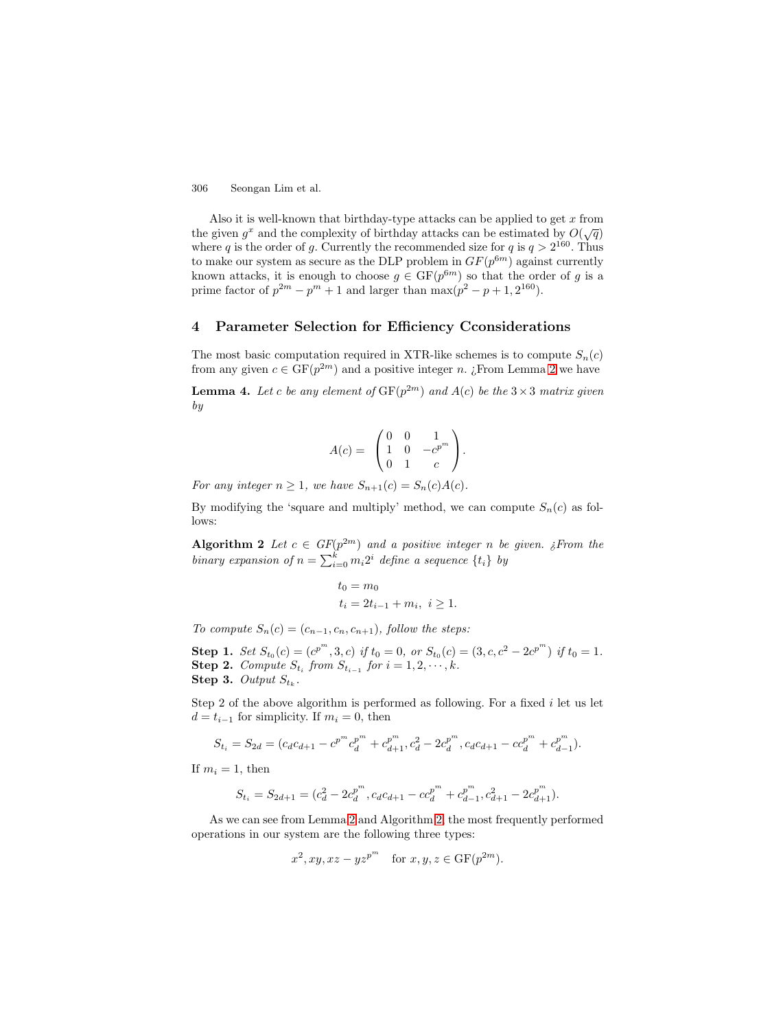<span id="page-5-0"></span>Also it is well-known that birthday-type attacks can be applied to get  $x$  from the given  $g^x$  and the complexity of birthday attacks can be estimated by  $O(\sqrt{q})$ where q is the order of g. Currently the recommended size for q is  $q > 2^{160}$ . Thus to make our system as secure as the DLP problem in  $GF(p^{6m})$  against currently known attacks, it is enough to choose  $g \in GF(p^{6m})$  so that the order of g is a prime factor of  $p^{2m} - p^m + 1$  and larger than  $\max(p^2 - p + 1, 2^{160})$ .

## **4 Parameter Selection for Efficiency Cconsiderations**

The most basic computation required in XTR-like schemes is to compute  $S_n(c)$ from any given  $c \in \mathrm{GF}(p^{2m})$  and a positive integer n. ¿From Lemma [2](#page-3-0) we have

**Lemma 4.** Let c be any element of  $GF(p^{2m})$  and  $A(c)$  be the  $3 \times 3$  matrix given by

$$
A(c) = \begin{pmatrix} 0 & 0 & 1 \\ 1 & 0 & -c^{p^{m}} \\ 0 & 1 & c \end{pmatrix}.
$$

For any integer  $n \geq 1$ , we have  $S_{n+1}(c) = S_n(c)A(c)$ .

By modifying the 'square and multiply' method, we can compute  $S_n(c)$  as follows:

**Algorithm 2** Let  $c \in GF(p^{2m})$  and a positive integer n be given. ¿From the binary expansion of  $n = \sum_{i=0}^{k} m_i 2^i$  define a sequence  $\{t_i\}$  by

$$
t_0 = m_0
$$
  

$$
t_i = 2t_{i-1} + m_i, \ i \ge 1.
$$

To compute  $S_n(c)=(c_{n-1}, c_n, c_{n+1}),$  follow the steps:

**Step 1.** Set  $S_{t_0}(c) = (c^{p^m}, 3, c)$  if  $t_0 = 0$ , or  $S_{t_0}(c) = (3, c, c^2 - 2c^{p^m})$  if  $t_0 = 1$ . **Step 2.** Compute  $S_{t_i}$  from  $S_{t_{i-1}}$  for  $i = 1, 2, \dots, k$ .

**Step 3.** Output  $S_{t_k}$ .

Step 2 of the above algorithm is performed as following. For a fixed  $i$  let us let  $d = t_{i-1}$  for simplicity. If  $m_i = 0$ , then

$$
S_{t_i} = S_{2d} = (c_d c_{d+1} - c^{p^m} c_d^{p^m} + c_{d+1}^{p^m}, c_d^2 - 2c_d^{p^m}, c_d c_{d+1} - c c_d^{p^m} + c_{d-1}^{p^m}).
$$

If  $m_i = 1$ , then

$$
S_{t_i} = S_{2d+1} = (c_d^2 - 2c_d^{p^m}, c_d c_{d+1} - c_c^{p^m} + c_{d-1}^{p^m}, c_{d+1}^2 - 2c_{d+1}^{p^m}).
$$

As we can see from Lemma [2](#page-3-0) and Algorithm 2, the most frequently performed operations in our system are the following three types:

$$
x^2
$$
,  $xy$ ,  $xz - yz^{p^m}$  for  $x, y, z \in \text{GF}(p^{2m})$ .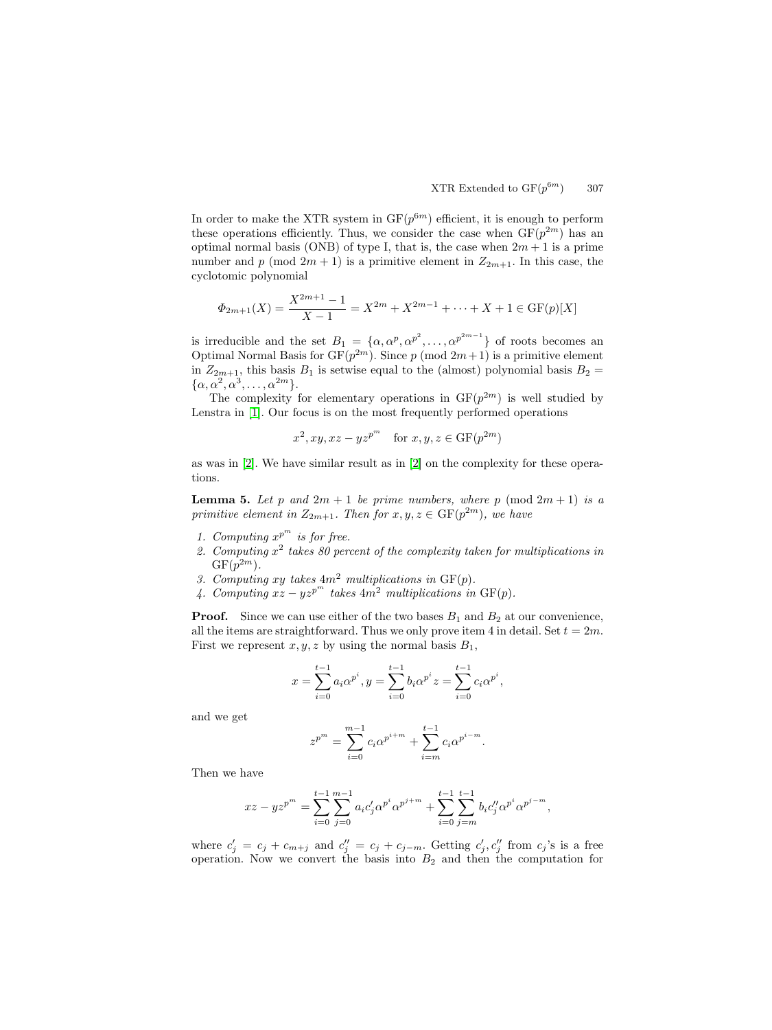<span id="page-6-0"></span>In order to make the XTR system in  $GF(p^{6m})$  efficient, it is enough to perform these operations efficiently. Thus, we consider the case when  $GF(p^{2m})$  has an optimal normal basis (ONB) of type I, that is, the case when  $2m + 1$  is a prime number and p (mod  $2m + 1$ ) is a primitive element in  $Z_{2m+1}$ . In this case, the cyclotomic polynomial

$$
\Phi_{2m+1}(X) = \frac{X^{2m+1} - 1}{X - 1} = X^{2m} + X^{2m-1} + \dots + X + 1 \in \text{GF}(p)[X]
$$

is irreducible and the set  $B_1 = {\alpha, \alpha^p, \alpha^{p^2}, \dots, \alpha^{p^{2m-1}}}$  of roots becomes an Optimal Normal Basis for  $GF(p^{2m})$ . Since p (mod  $2m+1$ ) is a primitive element in  $Z_{2m+1}$ , this basis  $B_1$  is setwise equal to the (almost) polynomial basis  $B_2 =$  $\{\alpha, \alpha^2, \alpha^3, \ldots, \alpha^{2m}\}.$ 

The complexity for elementary operations in  $GF(p^{2m})$  is well studied by Lenstra in [\[1\]](#page-9-0). Our focus is on the most frequently performed operations

$$
x^2, xy, xz - yz^{p^m} \quad \text{for } x, y, z \in \text{GF}(p^{2m})
$$

as was in [\[2\]](#page-9-0). We have similar result as in [\[2\]](#page-9-0) on the complexity for these operations.

**Lemma 5.** Let p and  $2m + 1$  be prime numbers, where p (mod  $2m + 1$ ) is a primitive element in  $Z_{2m+1}$ . Then for  $x, y, z \in \mathrm{GF}(p^{2m})$ , we have

- 1. Computing  $x^{p^m}$  is for free.
- 2. Computing  $x^2$  takes 80 percent of the complexity taken for multiplications in  $GF(p^{2m})$ .
- 3. Computing xy takes  $4m^2$  multiplications in  $GF(p)$ .
- 4. Computing  $xz yz^{p^m}$  takes  $4m^2$  multiplications in  $GF(p)$ .

**Proof.** Since we can use either of the two bases  $B_1$  and  $B_2$  at our convenience, all the items are straightforward. Thus we only prove item 4 in detail. Set  $t = 2m$ . First we represent  $x, y, z$  by using the normal basis  $B_1$ ,

$$
x = \sum_{i=0}^{t-1} a_i \alpha^{p^i}, y = \sum_{i=0}^{t-1} b_i \alpha^{p^i} z = \sum_{i=0}^{t-1} c_i \alpha^{p^i},
$$

and we get

$$
z^{p^{m}} = \sum_{i=0}^{m-1} c_i \alpha^{p^{i+m}} + \sum_{i=m}^{t-1} c_i \alpha^{p^{i-m}}.
$$

Then we have

$$
xz - yz^{p^m} = \sum_{i=0}^{t-1} \sum_{j=0}^{m-1} a_i c'_j \alpha^{p^i} \alpha^{p^{j+m}} + \sum_{i=0}^{t-1} \sum_{j=m}^{t-1} b_i c''_j \alpha^{p^i} \alpha^{p^{j-m}},
$$

where  $c'_j = c_j + c_{m+j}$  and  $c''_j = c_j + c_{j-m}$ . Getting  $c'_j, c''_j$  from  $c_j$ 's is a free operation. Now we convert the basis into  $B_2$  and then the computation for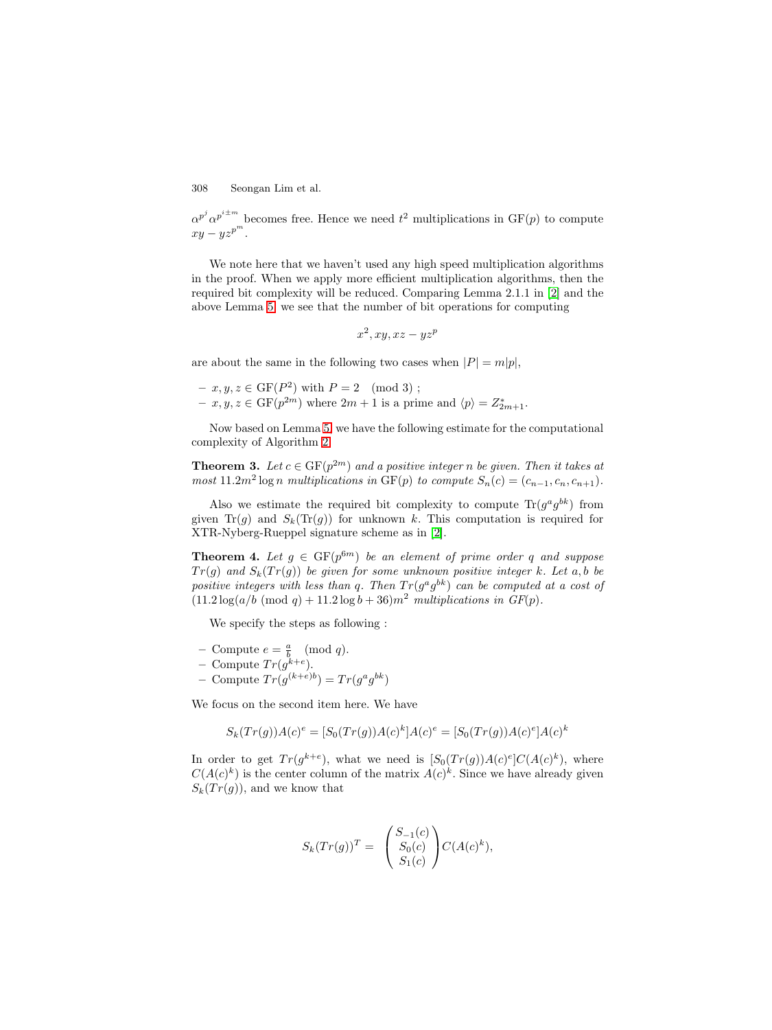$\alpha^{p^j} \alpha^{p^{i\pm m}}$  becomes free. Hence we need  $t^2$  multiplications in  $GF(p)$  to compute  $xy - yz^{p^m}.$ 

We note here that we haven't used any high speed multiplication algorithms in the proof. When we apply more efficient multiplication algorithms, then the required bit complexity will be reduced. Comparing Lemma 2.1.1 in [\[2\]](#page-9-0) and the above Lemma [5,](#page-6-0) we see that the number of bit operations for computing

$$
x^2, xy, xz - yz^p
$$

are about the same in the following two cases when  $|P| = m|p|$ ,

- **−**  $x, y, z \in \text{GF}(P^2)$  with  $P = 2 \pmod{3}$ ;
- $x, y, z \in \text{GF}(p^{2m})$  where  $2m + 1$  is a prime and  $\langle p \rangle = Z^*_{2m+1}$ .

Now based on Lemma [5,](#page-6-0) we have the following estimate for the computational complexity of Algorithm [2.](#page-5-0)

**Theorem 3.** Let  $c \in GF(p^{2m})$  and a positive integer n be given. Then it takes at most  $11.2m^2 \log n$  multiplications in GF(p) to compute  $S_n(c)=(c_{n-1}, c_n, c_{n+1}).$ 

Also we estimate the required bit complexity to compute  $\text{Tr}(g^a g^{bk})$  from given Tr(g) and  $S_k(\text{Tr}(g))$  for unknown k. This computation is required for XTR-Nyberg-Rueppel signature scheme as in [\[2\]](#page-9-0).

**Theorem 4.** Let  $g \in GF(p^{6m})$  be an element of prime order q and suppose  $Tr(g)$  and  $S_k(Tr(g))$  be given for some unknown positive integer k. Let a, b be positive integers with less than q. Then  $Tr(g^a g^{bk})$  can be computed at a cost of  $(11.2 \log(a/b \pmod{q} + 11.2 \log b + 36)m^2$  multiplications in  $GF(p)$ .

We specify the steps as following :

- Compute  $e = \frac{a}{b} \pmod{q}$ .
- $-$  Compute  $Tr(g^{k+e}).$
- $-$  Compute  $Tr(g^{(k+e)b}) = Tr(g^a g^{bk})$

We focus on the second item here. We have

$$
S_k(Tr(g))A(c)^e = [S_0(Tr(g))A(c)^k]A(c)^e = [S_0(Tr(g))A(c)^e]A(c)^k
$$

In order to get  $Tr(g^{k+e})$ , what we need is  $[S_0(Tr(g))A(c)^e]C(A(c)^k)$ , where  $C(A(c)^k)$  is the center column of the matrix  $A(c)^k$ . Since we have already given  $S_k(Tr(g))$ , and we know that

$$
S_k(Tr(g))^T = \begin{pmatrix} S_{-1}(c) \\ S_0(c) \\ S_1(c) \end{pmatrix} C(A(c)^k),
$$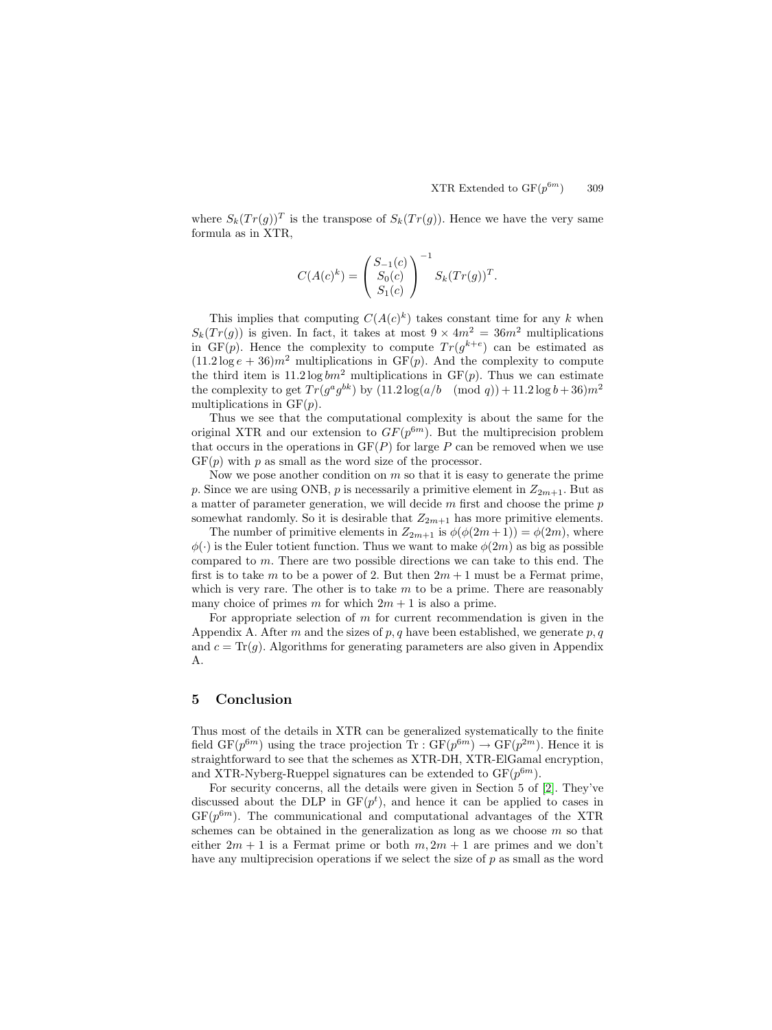where  $S_k(Tr(g))^T$  is the transpose of  $S_k(Tr(g))$ . Hence we have the very same formula as in XTR,

$$
C(A(c)^k) = \left(\begin{array}{c} S_{-1}(c) \\ S_0(c) \\ S_1(c) \end{array}\right)^{-1} S_k(Tr(g))^T.
$$

This implies that computing  $C(A(c)^k)$  takes constant time for any k when  $S_k(Tr(q))$  is given. In fact, it takes at most  $9 \times 4m^2 = 36m^2$  multiplications in GF(p). Hence the complexity to compute  $Tr(g^{k+e})$  can be estimated as  $(11.2 \log e + 36) m^2$  multiplications in GF(p). And the complexity to compute the third item is 11.2 log  $bm^2$  multiplications in  $GF(p)$ . Thus we can estimate the complexity to get  $Tr(g^a g^{bk})$  by  $(11.2 \log(a/b \pmod{q}) + 11.2 \log b + 36)m^2$ multiplications in  $GF(p)$ .

Thus we see that the computational complexity is about the same for the original XTR and our extension to  $GF(p^{6m})$ . But the multiprecision problem that occurs in the operations in  $GF(P)$  for large P can be removed when we use  $GF(p)$  with p as small as the word size of the processor.

Now we pose another condition on  $m$  so that it is easy to generate the prime p. Since we are using ONB, p is necessarily a primitive element in  $Z_{2m+1}$ . But as a matter of parameter generation, we will decide  $m$  first and choose the prime  $p$ somewhat randomly. So it is desirable that  $Z_{2m+1}$  has more primitive elements.

The number of primitive elements in  $Z_{2m+1}$  is  $\phi(\phi(2m+1)) = \phi(2m)$ , where  $\phi(\cdot)$  is the Euler totient function. Thus we want to make  $\phi(2m)$  as big as possible compared to m. There are two possible directions we can take to this end. The first is to take m to be a power of 2. But then  $2m + 1$  must be a Fermat prime, which is very rare. The other is to take  $m$  to be a prime. There are reasonably many choice of primes m for which  $2m + 1$  is also a prime.

For appropriate selection of  $m$  for current recommendation is given in the Appendix A. After m and the sizes of p, q have been established, we generate p, q and  $c = \text{Tr}(g)$ . Algorithms for generating parameters are also given in Appendix A.

### **5 Conclusion**

Thus most of the details in XTR can be generalized systematically to the finite field  $GF(p^{6m})$  using the trace projection  $Tr: GF(p^{6m}) \to GF(p^{2m})$ . Hence it is straightforward to see that the schemes as XTR-DH, XTR-ElGamal encryption, and XTR-Nyberg-Rueppel signatures can be extended to  $GF(p^{6m})$ .

For security concerns, all the details were given in Section 5 of [\[2\]](#page-9-0). They've discussed about the DLP in  $GF(p^t)$ , and hence it can be applied to cases in  $GF(p^{6m})$ . The communicational and computational advantages of the XTR schemes can be obtained in the generalization as long as we choose  $m$  so that either  $2m + 1$  is a Fermat prime or both  $m, 2m + 1$  are primes and we don't have any multiprecision operations if we select the size of p as small as the word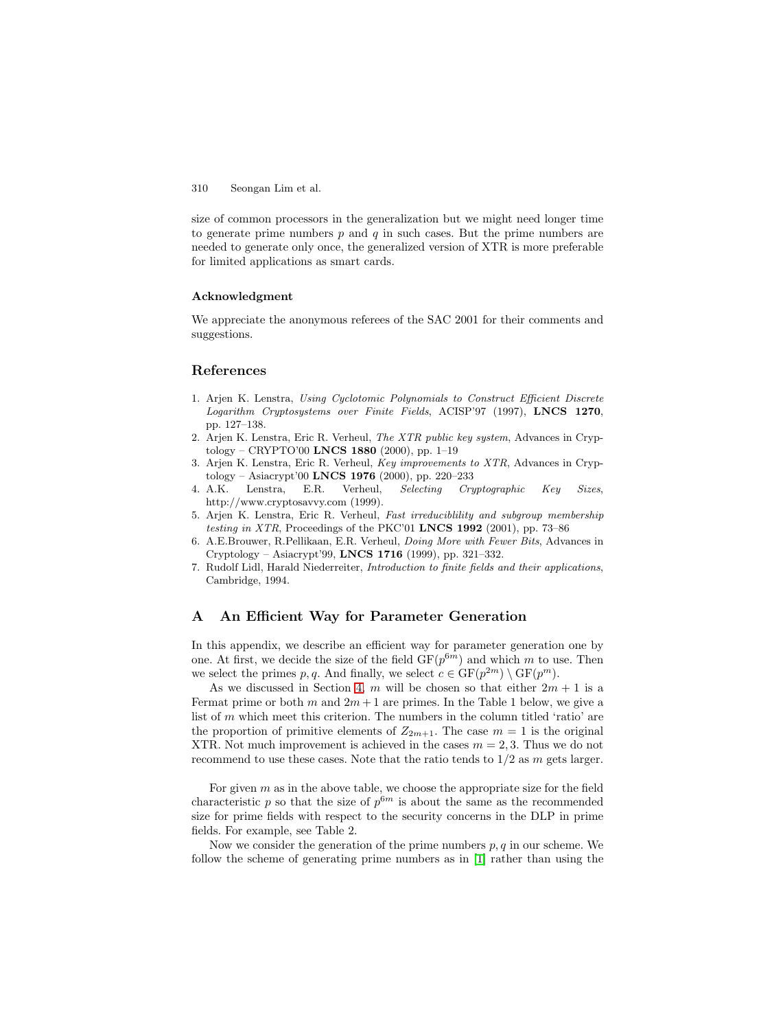<span id="page-9-0"></span>size of common processors in the generalization but we might need longer time to generate prime numbers  $p$  and  $q$  in such cases. But the prime numbers are needed to generate only once, the generalized version of XTR is more preferable for limited applications as smart cards.

#### **Acknowledgment**

We appreciate the anonymous referees of the SAC 2001 for their comments and suggestions.

## **References**

- 1. Arjen K. Lenstra, Using Cyclotomic Polynomials to Construct Efficient Discrete Logarithm Cryptosystems over Finite Fields, ACISP'97 (1997), **LNCS 1270**, pp. 127–138.
- 2. Arjen K. Lenstra, Eric R. Verheul, The XTR public key system, Advances in Cryptology – CRYPTO'00 **LNCS 1880** (2000), pp. 1–19
- 3. Arjen K. Lenstra, Eric R. Verheul, Key improvements to XTR, Advances in Cryptology – Asiacrypt'00 **LNCS 1976** (2000), pp. 220–233
- 4. A.K. Lenstra, E.R. Verheul, Selecting Cryptographic Key Sizes, http://www.cryptosavvy.com (1999).
- 5. Arjen K. Lenstra, Eric R. Verheul, Fast irreduciblility and subgroup membership testing in XTR, Proceedings of the PKC'01 **LNCS 1992** (2001), pp. 73–86
- 6. A.E.Brouwer, R.Pellikaan, E.R. Verheul, Doing More with Fewer Bits, Advances in Cryptology – Asiacrypt'99, **LNCS 1716** (1999), pp. 321–332.
- 7. Rudolf Lidl, Harald Niederreiter, Introduction to finite fields and their applications, Cambridge, 1994.

## **A An Efficient Way for Parameter Generation**

In this appendix, we describe an efficient way for parameter generation one by one. At first, we decide the size of the field  $GF(p^{6m})$  and which m to use. Then we select the primes p, q. And finally, we select  $c \in \mathrm{GF}(p^{2m}) \setminus \mathrm{GF}(p^m)$ .

As we discussed in Section [4,](#page-5-0) m will be chosen so that either  $2m + 1$  is a Fermat prime or both m and  $2m+1$  are primes. In the Table 1 below, we give a list of  $m$  which meet this criterion. The numbers in the column titled 'ratio' are the proportion of primitive elements of  $Z_{2m+1}$ . The case  $m = 1$  is the original XTR. Not much improvement is achieved in the cases  $m = 2, 3$ . Thus we do not recommend to use these cases. Note that the ratio tends to  $1/2$  as m gets larger.

For given  $m$  as in the above table, we choose the appropriate size for the field characteristic p so that the size of  $p^{6m}$  is about the same as the recommended size for prime fields with respect to the security concerns in the DLP in prime fields. For example, see Table 2.

Now we consider the generation of the prime numbers  $p, q$  in our scheme. We follow the scheme of generating prime numbers as in [1] rather than using the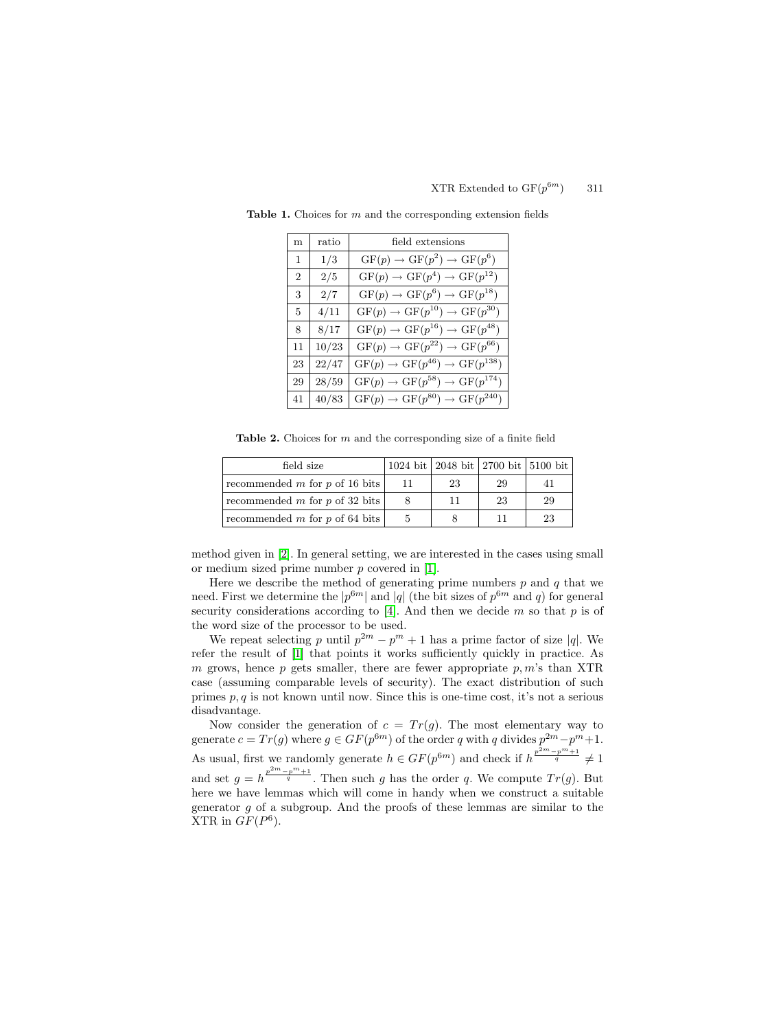| m                           | ratio | field extensions                                       |  |  |
|-----------------------------|-------|--------------------------------------------------------|--|--|
| 1                           | 1/3   | $GF(p) \rightarrow GF(p^2) \rightarrow GF(p^6)$        |  |  |
| $\mathcal{D}_{\mathcal{L}}$ | 2/5   | $GF(p) \rightarrow GF(p^4) \rightarrow GF(p^{12})$     |  |  |
| 3                           | 2/7   | $GF(p) \rightarrow GF(p^6) \rightarrow GF(p^{18})$     |  |  |
| 5                           | 4/11  | $GF(p) \rightarrow GF(p^{10}) \rightarrow GF(p^{30})$  |  |  |
| 8                           | 8/17  | $GF(p) \rightarrow GF(p^{16}) \rightarrow GF(p^{48})$  |  |  |
| 11                          | 10/23 | $GF(p) \rightarrow GF(p^{22}) \rightarrow GF(p^{66})$  |  |  |
| 23                          | 22/47 | $GF(p) \rightarrow GF(p^{46}) \rightarrow GF(p^{138})$ |  |  |
| 29                          | 28/59 | $GF(p) \rightarrow GF(p^{58}) \rightarrow GF(p^{174})$ |  |  |
| 41                          | 40/83 | $GF(p) \rightarrow GF(p^{80}) \rightarrow GF(p^{240})$ |  |  |

**Table 1.** Choices for m and the corresponding extension fields

**Table 2.** Choices for m and the corresponding size of a finite field

| field size                     |    |    | 1024 bit   2048 bit   2700 bit   5100 bit |    |
|--------------------------------|----|----|-------------------------------------------|----|
| recommended m for p of 16 bits | 11 | 23 | 29                                        | 41 |
| recommended m for p of 32 bits | 8  | 11 | 23                                        | 29 |
| recommended m for p of 64 bits | 5  |    | 11                                        | 23 |

method given in [\[2\]](#page-9-0). In general setting, we are interested in the cases using small or medium sized prime number  $p$  covered in  $[1]$ .

Here we describe the method of generating prime numbers  $p$  and  $q$  that we need. First we determine the  $|p^{6m}|$  and  $|q|$  (the bit sizes of  $p^{6m}$  and q) for general security considerations according to [\[4\]](#page-9-0). And then we decide  $m$  so that  $p$  is of the word size of the processor to be used.

We repeat selecting p until  $p^{2m} - p^m + 1$  has a prime factor of size |q|. We refer the result of [\[1\]](#page-9-0) that points it works sufficiently quickly in practice. As m grows, hence p gets smaller, there are fewer appropriate  $p, m$ 's than XTR case (assuming comparable levels of security). The exact distribution of such primes  $p, q$  is not known until now. Since this is one-time cost, it's not a serious disadvantage.

Now consider the generation of  $c = Tr(g)$ . The most elementary way to generate  $c = Tr(g)$  where  $g \in GF(p^{6m})$  of the order q with q divides  $p^{2m}-p^{m}+1$ . As usual, first we randomly generate  $h \in GF(p^{6m})$  and check if  $h^{\frac{p^{2m}-p^m+1}{q}} \neq 1$ and set  $g = h^{\frac{p^{2m}-p^m+1}{q}}$ . Then such g has the order q. We compute  $Tr(g)$ . But here we have lemmas which will come in handy when we construct a suitable generator  $g$  of a subgroup. And the proofs of these lemmas are similar to the XTR in  $GF(P^6)$ .